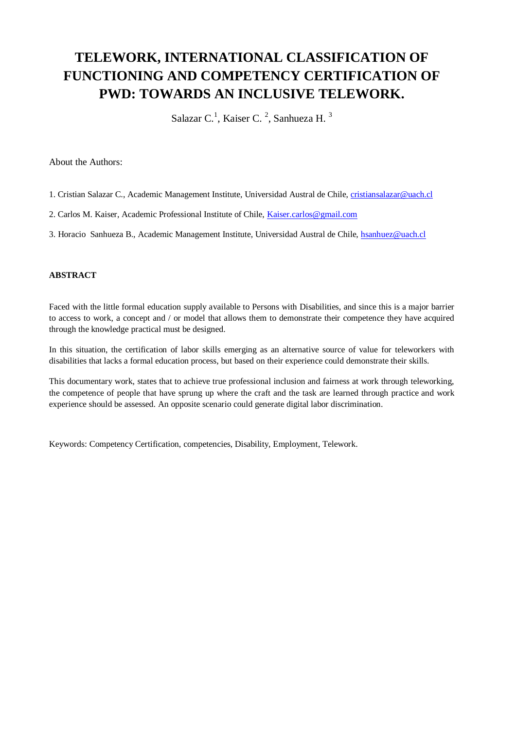# **TELEWORK, INTERNATIONAL CLASSIFICATION OF FUNCTIONING AND COMPETENCY CERTIFICATION OF PWD: TOWARDS AN INCLUSIVE TELEWORK.**

Salazar C.<sup>1</sup>, Kaiser C.<sup>2</sup>, Sanhueza H.<sup>3</sup>

About the Authors:

- 1. Cristian Salazar C., Academic Management Institute, Universidad Austral de Chile[, cristiansalazar@uach.cl](mailto:cristiansalazar@uach.cl)
- 2. Carlos M. Kaiser, Academic Professional Institute of Chile, [Kaiser.carlos@gmail.com](mailto:Kaiser.carlos@gmail.com)
- 3. Horacio Sanhueza B., Academic Management Institute, Universidad Austral de Chile, [hsanhuez@uach.cl](mailto:hsanhuez@uach.cl)

## **ABSTRACT**

Faced with the little formal education supply available to Persons with Disabilities, and since this is a major barrier to access to work, a concept and / or model that allows them to demonstrate their competence they have acquired through the knowledge practical must be designed.

In this situation, the certification of labor skills emerging as an alternative source of value for teleworkers with disabilities that lacks a formal education process, but based on their experience could demonstrate their skills.

This documentary work, states that to achieve true professional inclusion and fairness at work through teleworking, the competence of people that have sprung up where the craft and the task are learned through practice and work experience should be assessed. An opposite scenario could generate digital labor discrimination.

Keywords: Competency Certification, competencies, Disability, Employment, Telework.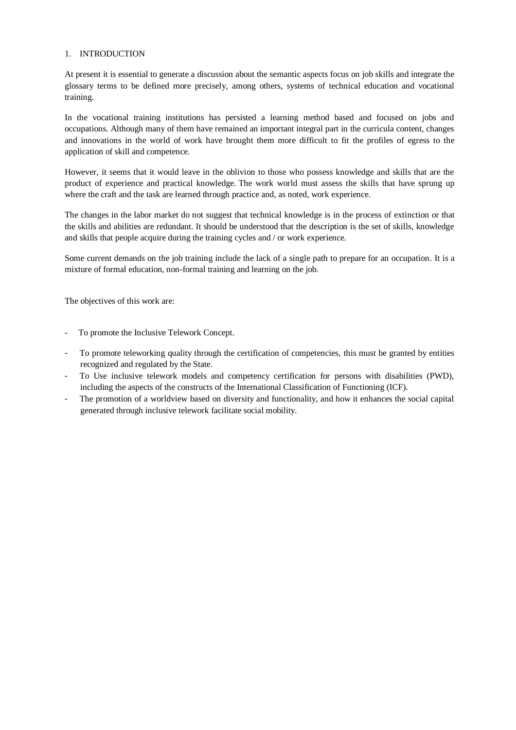#### 1. INTRODUCTION

At present it is essential to generate a discussion about the semantic aspects focus on job skills and integrate the glossary terms to be defined more precisely, among others, systems of technical education and vocational training.

In the vocational training institutions has persisted a learning method based and focused on jobs and occupations. Although many of them have remained an important integral part in the curricula content, changes and innovations in the world of work have brought them more difficult to fit the profiles of egress to the application of skill and competence.

However, it seems that it would leave in the oblivion to those who possess knowledge and skills that are the product of experience and practical knowledge. The work world must assess the skills that have sprung up where the craft and the task are learned through practice and, as noted, work experience.

The changes in the labor market do not suggest that technical knowledge is in the process of extinction or that the skills and abilities are redundant. It should be understood that the description is the set of skills, knowledge and skills that people acquire during the training cycles and / or work experience.

Some current demands on the job training include the lack of a single path to prepare for an occupation. It is a mixture of formal education, non-formal training and learning on the job.

The objectives of this work are:

- To promote the Inclusive Telework Concept.
- To promote teleworking quality through the certification of competencies, this must be granted by entities recognized and regulated by the State.
- To Use inclusive telework models and competency certification for persons with disabilities (PWD), including the aspects of the constructs of the International Classification of Functioning (ICF).
- The promotion of a worldview based on diversity and functionality, and how it enhances the social capital generated through inclusive telework facilitate social mobility.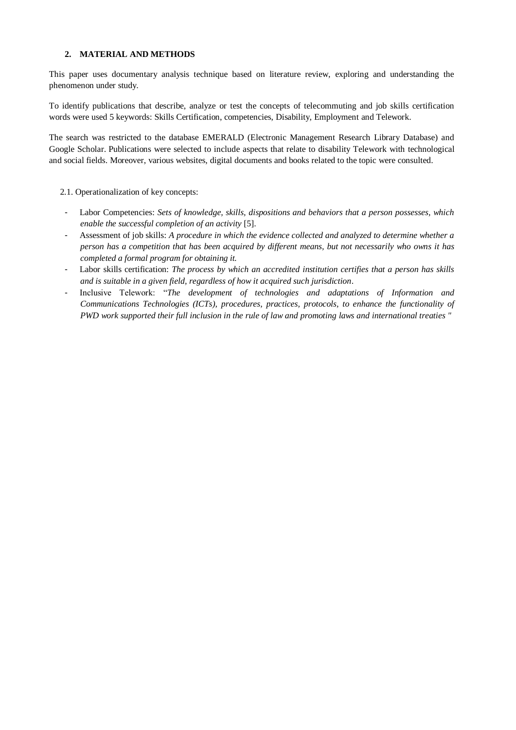#### **2. MATERIAL AND METHODS**

This paper uses documentary analysis technique based on literature review, exploring and understanding the phenomenon under study.

To identify publications that describe, analyze or test the concepts of telecommuting and job skills certification words were used 5 keywords: Skills Certification, competencies, Disability, Employment and Telework.

The search was restricted to the database EMERALD (Electronic Management Research Library Database) and Google Scholar. Publications were selected to include aspects that relate to disability Telework with technological and social fields. Moreover, various websites, digital documents and books related to the topic were consulted.

#### 2.1. Operationalization of key concepts:

- Labor Competencies: *Sets of knowledge, skills, dispositions and behaviors that a person possesses, which enable the successful completion of an activity* [5].
- Assessment of job skills: *A procedure in which the evidence collected and analyzed to determine whether a person has a competition that has been acquired by different means, but not necessarily who owns it has completed a formal program for obtaining it.*
- Labor skills certification: *The process by which an accredited institution certifies that a person has skills and is suitable in a given field, regardless of how it acquired such jurisdiction*.
- Inclusive Telework: "*The development of technologies and adaptations of Information and Communications Technologies (ICTs), procedures, practices, protocols, to enhance the functionality of PWD work supported their full inclusion in the rule of law and promoting laws and international treaties "*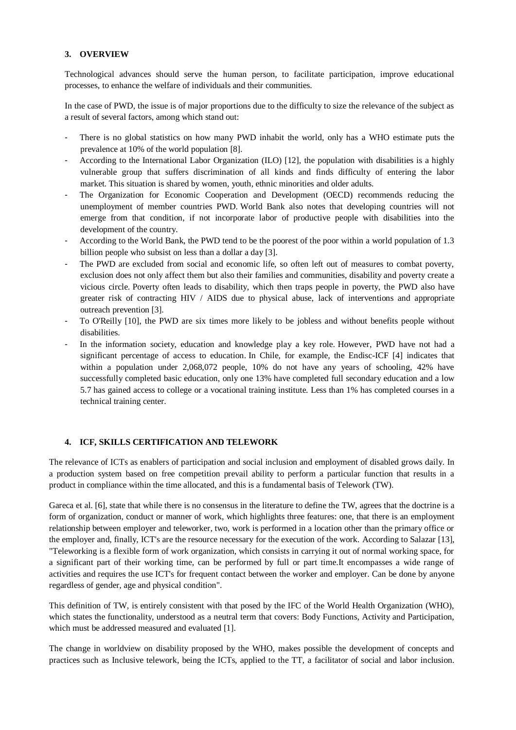#### **3. OVERVIEW**

Technological advances should serve the human person, to facilitate participation, improve educational processes, to enhance the welfare of individuals and their communities.

In the case of PWD, the issue is of major proportions due to the difficulty to size the relevance of the subject as a result of several factors, among which stand out:

- There is no global statistics on how many PWD inhabit the world, only has a WHO estimate puts the prevalence at 10% of the world population [8].
- According to the International Labor Organization (ILO) [12], the population with disabilities is a highly vulnerable group that suffers discrimination of all kinds and finds difficulty of entering the labor market. This situation is shared by women, youth, ethnic minorities and older adults.
- The Organization for Economic Cooperation and Development (OECD) recommends reducing the unemployment of member countries PWD. World Bank also notes that developing countries will not emerge from that condition, if not incorporate labor of productive people with disabilities into the development of the country.
- According to the World Bank, the PWD tend to be the poorest of the poor within a world population of 1.3 billion people who subsist on less than a dollar a day [3].
- The PWD are excluded from social and economic life, so often left out of measures to combat poverty, exclusion does not only affect them but also their families and communities, disability and poverty create a vicious circle. Poverty often leads to disability, which then traps people in poverty, the PWD also have greater risk of contracting HIV / AIDS due to physical abuse, lack of interventions and appropriate outreach prevention [3].
- To O'Reilly [10], the PWD are six times more likely to be jobless and without benefits people without disabilities.
- In the information society, education and knowledge play a key role. However, PWD have not had a significant percentage of access to education. In Chile, for example, the Endisc-ICF [4] indicates that within a population under 2,068,072 people, 10% do not have any years of schooling, 42% have successfully completed basic education, only one 13% have completed full secondary education and a low 5.7 has gained access to college or a vocational training institute. Less than 1% has completed courses in a technical training center.

### **4. ICF, SKILLS CERTIFICATION AND TELEWORK**

The relevance of ICTs as enablers of participation and social inclusion and employment of disabled grows daily. In a production system based on free competition prevail ability to perform a particular function that results in a product in compliance within the time allocated, and this is a fundamental basis of Telework (TW).

Gareca et al. [6], state that while there is no consensus in the literature to define the TW, agrees that the doctrine is a form of organization, conduct or manner of work, which highlights three features: one, that there is an employment relationship between employer and teleworker, two, work is performed in a location other than the primary office or the employer and, finally, ICT's are the resource necessary for the execution of the work. According to Salazar [13], "Teleworking is a flexible form of work organization, which consists in carrying it out of normal working space, for a significant part of their working time, can be performed by full or part time.It encompasses a wide range of activities and requires the use ICT's for frequent contact between the worker and employer. Can be done by anyone regardless of gender, age and physical condition".

This definition of TW, is entirely consistent with that posed by the IFC of the World Health Organization (WHO), which states the functionality, understood as a neutral term that covers: Body Functions, Activity and Participation, which must be addressed measured and evaluated [1].

The change in worldview on disability proposed by the WHO, makes possible the development of concepts and practices such as Inclusive telework, being the ICTs, applied to the TT, a facilitator of social and labor inclusion.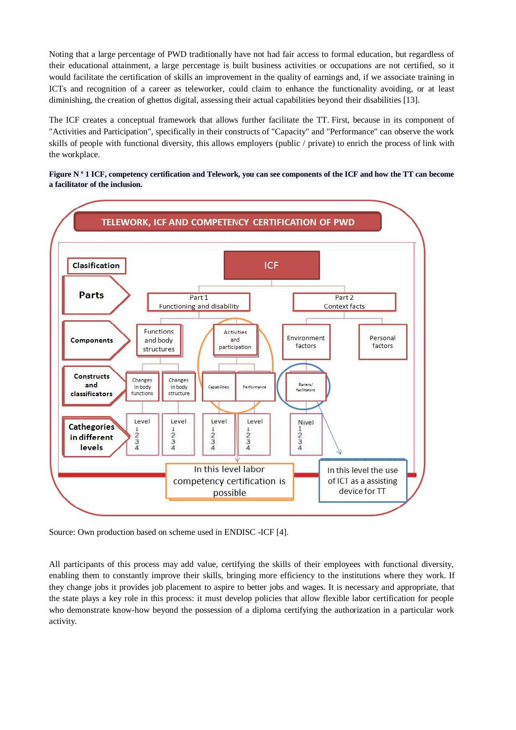Noting that a large percentage of PWD traditionally have not had fair access to formal education, but regardless of their educational attainment, a large percentage is built business activities or occupations are not certified, so it would facilitate the certification of skills an improvement in the quality of earnings and, if we associate training in ICTs and recognition of a career as teleworker, could claim to enhance the functionality avoiding, or at least diminishing, the creation of ghettos digital, assessing their actual capabilities beyond their disabilities [13].

The ICF creates a conceptual framework that allows further facilitate the TT. First, because in its component of "Activities and Participation", specifically in their constructs of "Capacity" and "Performance" can observe the work skills of people with functional diversity, this allows employers (public / private) to enrich the process of link with the workplace.





Source: Own production based on scheme used in ENDISC -ICF [4].

All participants of this process may add value, certifying the skills of their employees with functional diversity, enabling them to constantly improve their skills, bringing more efficiency to the institutions where they work. If they change jobs it provides job placement to aspire to better jobs and wages. It is necessary and appropriate, that the state plays a key role in this process: it must develop policies that allow flexible labor certification for people who demonstrate know-how beyond the possession of a diploma certifying the authorization in a particular work activity.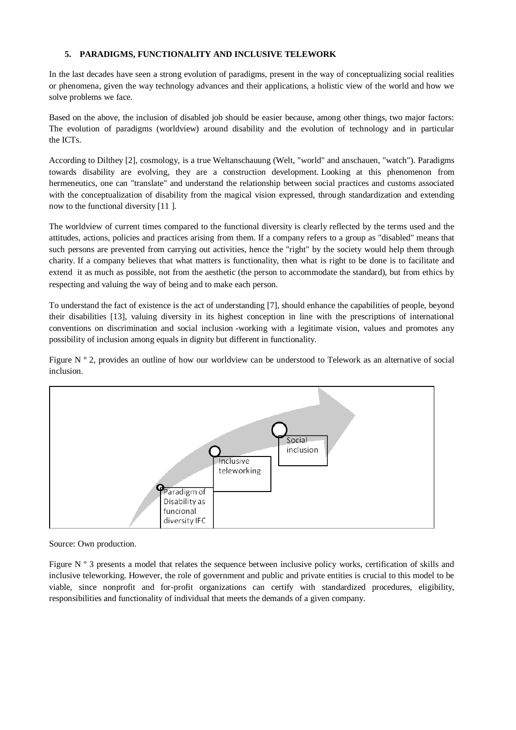### **5. PARADIGMS, FUNCTIONALITY AND INCLUSIVE TELEWORK**

In the last decades have seen a strong evolution of paradigms, present in the way of conceptualizing social realities or phenomena, given the way technology advances and their applications, a holistic view of the world and how we solve problems we face.

Based on the above, the inclusion of disabled job should be easier because, among other things, two major factors: The evolution of paradigms (worldview) around disability and the evolution of technology and in particular the ICTs.

According to Dilthey [2], cosmology, is a true Weltanschauung (Welt, "world" and anschauen, "watch"). Paradigms towards disability are evolving, they are a construction development. Looking at this phenomenon from hermeneutics, one can "translate" and understand the relationship between social practices and customs associated with the conceptualization of disability from the magical vision expressed, through standardization and extending now to the functional diversity [11 ].

The worldview of current times compared to the functional diversity is clearly reflected by the terms used and the attitudes, actions, policies and practices arising from them. If a company refers to a group as "disabled" means that such persons are prevented from carrying out activities, hence the "right" by the society would help them through charity. If a company believes that what matters is functionality, then what is right to be done is to facilitate and extend it as much as possible, not from the aesthetic (the person to accommodate the standard), but from ethics by respecting and valuing the way of being and to make each person.

To understand the fact of existence is the act of understanding [7], should enhance the capabilities of people, beyond their disabilities [13], valuing diversity in its highest conception in line with the prescriptions of international conventions on discrimination and social inclusion -working with a legitimate vision, values and promotes any possibility of inclusion among equals in dignity but different in functionality.

Figure N  $\degree$  2, provides an outline of how our worldview can be understood to Telework as an alternative of social inclusion.



Source: Own production.

Figure N º 3 presents a model that relates the sequence between inclusive policy works, certification of skills and inclusive teleworking. However, the role of government and public and private entities is crucial to this model to be viable, since nonprofit and for-profit organizations can certify with standardized procedures, eligibility, responsibilities and functionality of individual that meets the demands of a given company.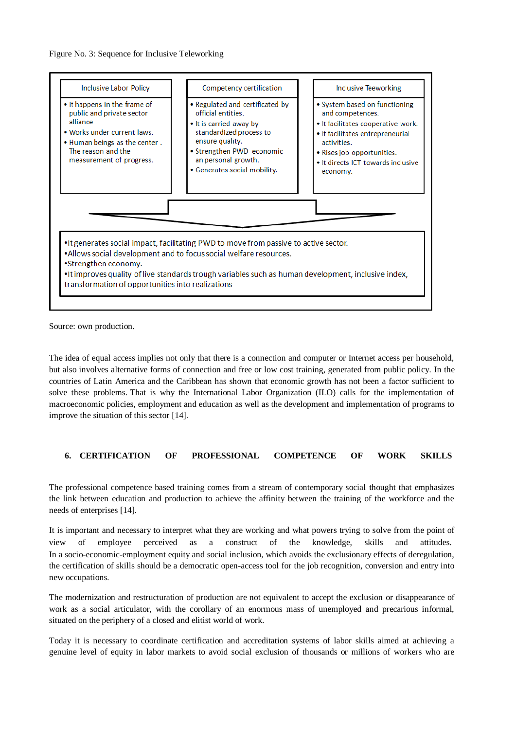

Source: own production.

The idea of equal access implies not only that there is a connection and computer or Internet access per household, but also involves alternative forms of connection and free or low cost training, generated from public policy. In the countries of Latin America and the Caribbean has shown that economic growth has not been a factor sufficient to solve these problems. That is why the International Labor Organization (ILO) calls for the implementation of macroeconomic policies, employment and education as well as the development and implementation of programs to improve the situation of this sector [14].

## **6. CERTIFICATION OF PROFESSIONAL COMPETENCE OF WORK SKILLS**

The professional competence based training comes from a stream of contemporary social thought that emphasizes the link between education and production to achieve the affinity between the training of the workforce and the needs of enterprises [14].

It is important and necessary to interpret what they are working and what powers trying to solve from the point of view of employee perceived as a construct of the knowledge, skills and attitudes. In a socio-economic-employment equity and social inclusion, which avoids the exclusionary effects of deregulation, the certification of skills should be a democratic open-access tool for the job recognition, conversion and entry into new occupations.

The modernization and restructuration of production are not equivalent to accept the exclusion or disappearance of work as a social articulator, with the corollary of an enormous mass of unemployed and precarious informal, situated on the periphery of a closed and elitist world of work.

Today it is necessary to coordinate certification and accreditation systems of labor skills aimed at achieving a genuine level of equity in labor markets to avoid social exclusion of thousands or millions of workers who are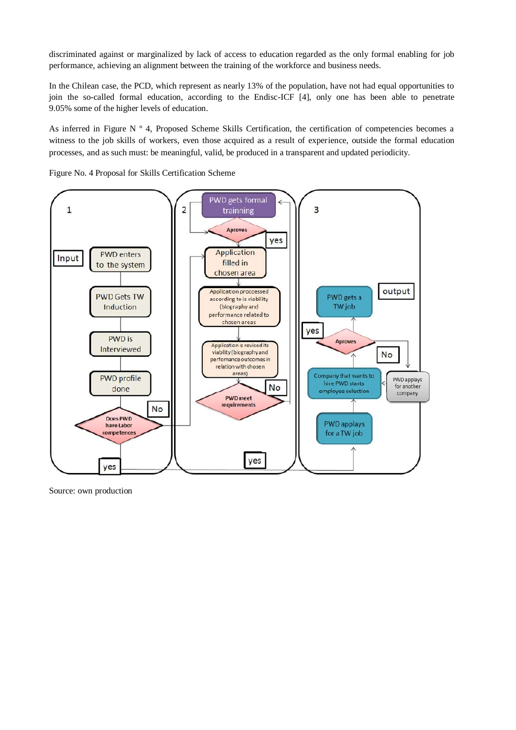discriminated against or marginalized by lack of access to education regarded as the only formal enabling for job performance, achieving an alignment between the training of the workforce and business needs.

In the Chilean case, the PCD, which represent as nearly 13% of the population, have not had equal opportunities to join the so-called formal education, according to the Endisc-ICF [4], only one has been able to penetrate 9.05% some of the higher levels of education.

As inferred in Figure N º 4, Proposed Scheme Skills Certification, the certification of competencies becomes a witness to the job skills of workers, even those acquired as a result of experience, outside the formal education processes, and as such must: be meaningful, valid, be produced in a transparent and updated periodicity.



Figure No. 4 Proposal for Skills Certification Scheme

Source: own production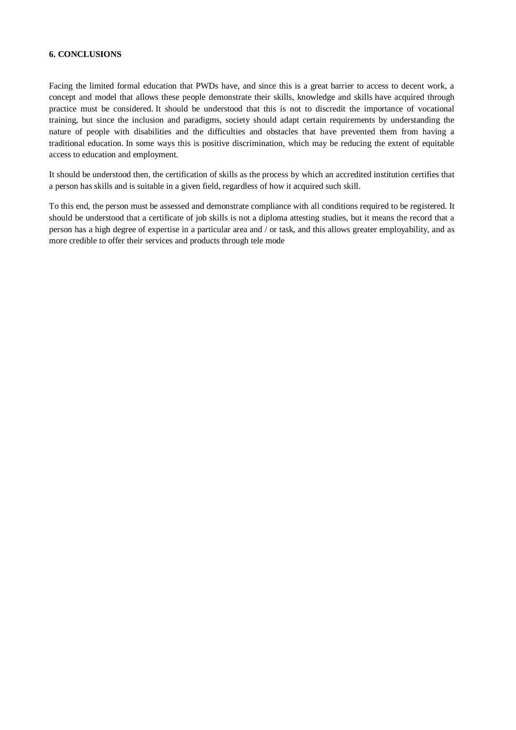#### **6. CONCLUSIONS**

Facing the limited formal education that PWDs have, and since this is a great barrier to access to decent work, a concept and model that allows these people demonstrate their skills, knowledge and skills have acquired through practice must be considered. It should be understood that this is not to discredit the importance of vocational training, but since the inclusion and paradigms, society should adapt certain requirements by understanding the nature of people with disabilities and the difficulties and obstacles that have prevented them from having a traditional education. In some ways this is positive discrimination, which may be reducing the extent of equitable access to education and employment.

It should be understood then, the certification of skills as the process by which an accredited institution certifies that a person has skills and is suitable in a given field, regardless of how it acquired such skill.

To this end, the person must be assessed and demonstrate compliance with all conditions required to be registered. It should be understood that a certificate of job skills is not a diploma attesting studies, but it means the record that a person has a high degree of expertise in a particular area and / or task, and this allows greater employability, and as more credible to offer their services and products through tele mode